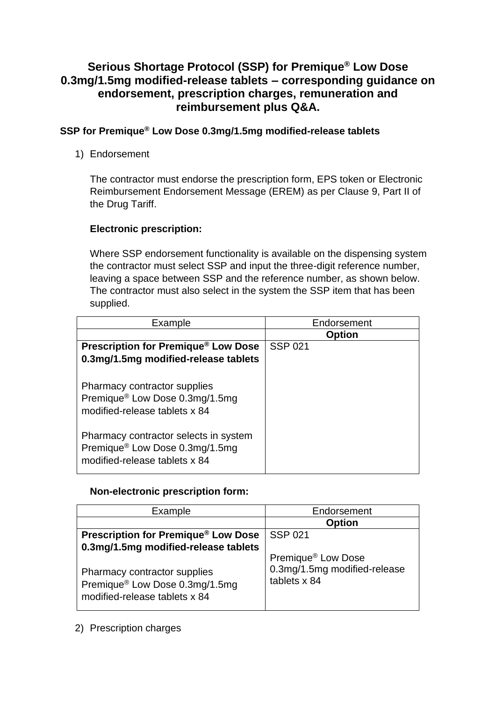# **Serious Shortage Protocol (SSP) for Premique® Low Dose 0.3mg/1.5mg modified-release tablets – corresponding guidance on endorsement, prescription charges, remuneration and reimbursement plus Q&A.**

## **SSP for Premique® Low Dose 0.3mg/1.5mg modified-release tablets**

1) Endorsement

The contractor must endorse the prescription form, EPS token or Electronic Reimbursement Endorsement Message (EREM) as per Clause 9, Part II of the Drug Tariff.

# **Electronic prescription:**

Where SSP endorsement functionality is available on the dispensing system the contractor must select SSP and input the three-digit reference number, leaving a space between SSP and the reference number, as shown below. The contractor must also select in the system the SSP item that has been supplied.

| Example                                                                                                  | Endorsement    |
|----------------------------------------------------------------------------------------------------------|----------------|
|                                                                                                          | <b>Option</b>  |
| Prescription for Premique <sup>®</sup> Low Dose                                                          | <b>SSP 021</b> |
| 0.3mg/1.5mg modified-release tablets                                                                     |                |
|                                                                                                          |                |
| Pharmacy contractor supplies<br>Premique® Low Dose 0.3mg/1.5mg<br>modified-release tablets x 84          |                |
| Pharmacy contractor selects in system<br>Premique® Low Dose 0.3mg/1.5mg<br>modified-release tablets x 84 |                |

## **Non-electronic prescription form:**

| Example                                                                                                                                             | Endorsement                                                                    |
|-----------------------------------------------------------------------------------------------------------------------------------------------------|--------------------------------------------------------------------------------|
|                                                                                                                                                     | <b>Option</b>                                                                  |
| <b>Prescription for Premique® Low Dose</b>                                                                                                          | <b>SSP 021</b>                                                                 |
| 0.3mg/1.5mg modified-release tablets<br>Pharmacy contractor supplies<br>Premique <sup>®</sup> Low Dose 0.3mg/1.5mg<br>modified-release tablets x 84 | Premique <sup>®</sup> Low Dose<br>0.3mg/1.5mg modified-release<br>tablets x 84 |

## 2) Prescription charges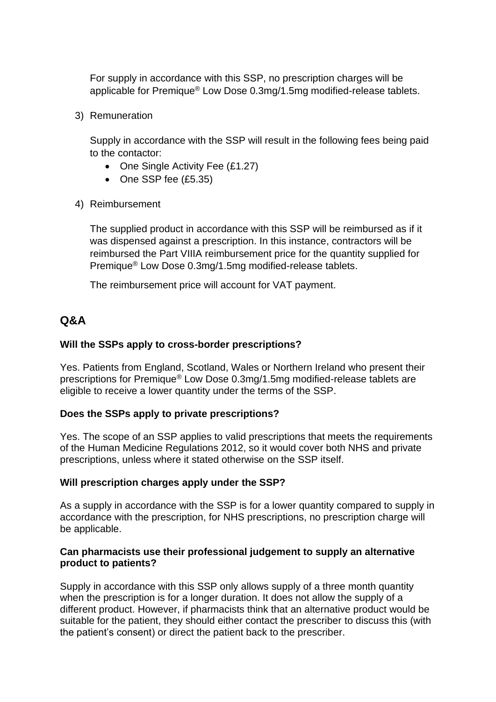For supply in accordance with this SSP, no prescription charges will be applicable for Premique® Low Dose 0.3mg/1.5mg modified-release tablets.

3) Remuneration

Supply in accordance with the SSP will result in the following fees being paid to the contactor:

- One Single Activity Fee (£1.27)
- One SSP fee (£5.35)
- 4) Reimbursement

The supplied product in accordance with this SSP will be reimbursed as if it was dispensed against a prescription. In this instance, contractors will be reimbursed the Part VIIIA reimbursement price for the quantity supplied for Premique® Low Dose 0.3mg/1.5mg modified-release tablets.

The reimbursement price will account for VAT payment.

# **Q&A**

#### **Will the SSPs apply to cross-border prescriptions?**

Yes. Patients from England, Scotland, Wales or Northern Ireland who present their prescriptions for Premique® Low Dose 0.3mg/1.5mg modified-release tablets are eligible to receive a lower quantity under the terms of the SSP.

#### **Does the SSPs apply to private prescriptions?**

Yes. The scope of an SSP applies to valid prescriptions that meets the requirements of the Human Medicine Regulations 2012, so it would cover both NHS and private prescriptions, unless where it stated otherwise on the SSP itself.

#### **Will prescription charges apply under the SSP?**

As a supply in accordance with the SSP is for a lower quantity compared to supply in accordance with the prescription, for NHS prescriptions, no prescription charge will be applicable.

#### **Can pharmacists use their professional judgement to supply an alternative product to patients?**

Supply in accordance with this SSP only allows supply of a three month quantity when the prescription is for a longer duration. It does not allow the supply of a different product. However, if pharmacists think that an alternative product would be suitable for the patient, they should either contact the prescriber to discuss this (with the patient's consent) or direct the patient back to the prescriber.